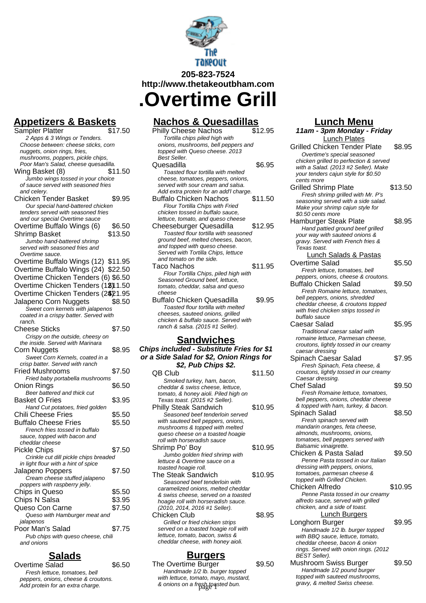

**http://www.thetakeoutbham.com**

**.Overtime Grill**

# **Appetizers & Baskets**

Sampler Platter 2 Apps & 3 Wings or Tenders. Choose between: cheese sticks, corn nuggets, onion rings, fries, mushrooms, poppers, pickle chips, Poor Man's Salad, cheese quesadilla. Wing Basket (8) \$11.50 Jumbo wings tossed in your choice of sauce served with seasoned fries and celery. Chicken Tender Basket \$9.95 Our special hand-battered chicken tenders served with seasoned fries and our special Overtime sauce Overtime Buffalo Wings (6) \$6.50 Shrimp Basket \$13.50 Jumbo hand-battered shrimp served with seasoned fries and Overtime sauce. Overtime Buffalo Wings (12) \$11.95 Overtime Buffalo Wings (24) \$22.50 Overtime Chicken Tenders (6) \$6.50 Overtime Chicken Tenders (1\$)1.50 Overtime Chicken Tenders (2\$21.95 Jalapeno Corn Nuggets \$8.50 Sweet corn kernels with jalapenos coated in a crispy batter. Served with ranch. Cheese Sticks \$7.50 Crispy on the outside, cheesy on the inside. Served with Marinara Corn Nuggets \$8.95 Sweet Corn Kernels, coated in a crisp batter. Served with ranch Fried Mushrooms \$7.50 Fried baby portabella mushrooms Onion Rings \$6.50 Beer battered and thick cut Basket O Fries \$3.95 Hand Cut potatoes, fried golden Chili Cheese Fries \$5.50 Buffalo Cheese Fries \$5.50 French fries tossed in buffalo sauce, topped with bacon and cheddar cheese Pickle Chips \$7.50 Crinkle cut dill pickle chips breaded in light flour with a hint of spice Jalapeno Poppers \$7.50 Cream cheese stuffed jalapeno poppers with raspberry jelly. Chips in Queso \$5.50 Chips N Salsa  $$3.95$ Queso Con Carne \$7.50 Queso with Hamburger meat and jalapenos Poor Man's Salad \$7.75 Pub chips with queso cheese, chili and onions

## **Salads**

Overtime Salad \$6.50 Fresh lettuce, tomatoes, bell peppers, onions, cheese & croutons. Add protein for an extra charge.

| <u>Nachos &amp; Quesadillas</u>                                                                                                          |         |
|------------------------------------------------------------------------------------------------------------------------------------------|---------|
| <b>Philly Cheese Nachos</b>                                                                                                              | \$12.95 |
| Tortilla chips piled high with<br>onions, mushrooms, bell peppers and<br>topped with Queso cheese. 2013                                  |         |
| Best Seller.<br>Quesadilla                                                                                                               | \$6.95  |
| Toasted flour tortilla with melted                                                                                                       |         |
| cheese, tomatoes, peppers, onions,<br>served with sour cream and salsa.<br>Add extra protein for an add'l charge.                        |         |
| <b>Buffalo Chicken Nachos</b><br><b>Flour Tortilla Chips with Fried</b>                                                                  | \$11.50 |
| chicken tossed in buffalo sauce.<br>lettuce, tomato, and queso cheese                                                                    |         |
| Cheeseburger Quesadilla<br>Toasted flour tortilla with seasoned<br>ground beef, melted cheeses, bacon,                                   | \$12.95 |
| and topped with queso cheese.<br>Served with Tortilla Chips, lettuce<br>and tomato on the side.                                          |         |
| Taco Nachos                                                                                                                              | \$11.95 |
| Flour Tortilla Chips, piled high with<br>Seasoned Ground beef, lettuce,<br>tomato, cheddar, salsa and queso<br>cheese                    |         |
| <b>Buffalo Chicken Quesadilla</b>                                                                                                        | \$9.95  |
| Toasted flour tortilla with melted<br>cheeses, sauteed onions, grilled<br>chicken & buffalo sauce. Served with                           |         |
| ranch & salsa. (2015 #1 Seller).                                                                                                         |         |
| <u>Sandwiches</u>                                                                                                                        |         |
| Chips included - Substitute Fries for \$1<br>or a Side Salad for \$2, Onion Rings for                                                    |         |
| \$2, Pub Chips \$2.                                                                                                                      |         |
| QB Club                                                                                                                                  | \$11.50 |
| Smoked turkey, ham, bacon,<br>cheddar & swiss cheese, lettuce,<br>tomato, & honey aioli. Piled high on<br>Texas toast. (2015 #2 Seller). |         |
| <b>Philly Steak Sandwich</b><br>Seasoned beef tenderloin served<br>with sauteed bell peppers, onions,                                    | \$10.95 |
| mushrooms & topped with melted<br>queso cheese on a toasted hoagie                                                                       |         |
| roll with horseradish sauce<br>Shrimp Po' Boy                                                                                            | \$10.95 |
| Jumbo golden fried shrimp with<br>lettuce & Overtime sauce on a<br>toasted hoagie roll.                                                  |         |
| <b>The Steak Sandwich</b>                                                                                                                | \$10.95 |
| Seasoned beef tenderloin with                                                                                                            |         |
|                                                                                                                                          |         |
| caramelized onions, melted cheddar<br>& swiss cheese, served on a toasted                                                                |         |
| hoagie roll with horseradish sauce.<br>(2010, 2014, 2016 #1 Seller).                                                                     |         |

Grilled or fried chicken strips served on a toasted hoagie roll with lettuce, tomato, bacon, swiss & cheddar cheese, with honey aioli.

#### **Burgers**

The Overtime Burger \$9.50 Handmade 1/2 lb. burger topped with lettuce, tomato, mayo, mustard, & onions on a fresh toasted bun.

#### **Lunch Menu**

**11am - 3pm Monday - Friday** Lunch Plates Grilled Chicken Tender Plate \$8.95 Overtime's special seasoned chicken grilled to perfection & served with a Salad. (2013 #2 Seller). Make your tenders cajun style for \$0.50 cents more Grilled Shrimp Plate \$13.50 Fresh shrimp grilled with Mr. P's seasoning served with a side salad. Make your shrimp cajun style for \$0.50 cents more Hamburger Steak Plate \$8.95 Hand pattied ground beef grilled your way with sauteed onions & gravy. Served with French fries & Texas toast. Lunch Salads & Pastas Overtime Salad \$5.50 Fresh lettuce, tomatoes, bell peppers, onions, cheese & croutons. Buffalo Chicken Salad \$9.50 Fresh Romaine lettuce, tomatoes, bell peppers, onions, shredded cheddar cheese, & croutons topped with fried chicken strips tossed in buffalo sauce Caesar Salad \$5.95 Traditional caesar salad with romaine lettuce, Parmesan cheese, croutons, lightly tossed in our creamy caesar dressing Spinach Caesar Salad \$7.95 Fresh Spinach, Feta cheese, & croutons, lightly tossed in our creamy Caesar dressing. Chef Salad \$9.50 Fresh Romaine lettuce, tomatoes, bell peppers, onions, cheddar cheese & topped with ham, turkey, & bacon. Spinach Salad \$8.50 Fresh spinach served with mandarin oranges, feta cheese, almonds, mushrooms, onions, tomatoes, bell peppers served with Balsamic vinaigrette. Chicken & Pasta Salad \$9.50 Penne Pasta tossed in our Italian dressing with peppers, onions, tomatoes, parmesan cheese & topped with Grilled Chicken. Chicken Alfredo \$10.95 Penne Pasta tossed in our creamy alfredo sauce, served with grilled chicken, and a side of toast. **Lunch Burgers** Longhorn Burger \$9.95 Handmade 1/2 lb. burger topped with BBQ sauce, lettuce, tomato, cheddar cheese, bacon & onion rings. Served with onion rings. (2012 BEST Seller). Mushroom Swiss Burger \$9.50 Handmade 1/2 pound burger topped with sauteed mushrooms, gravy, & melted Swiss cheese.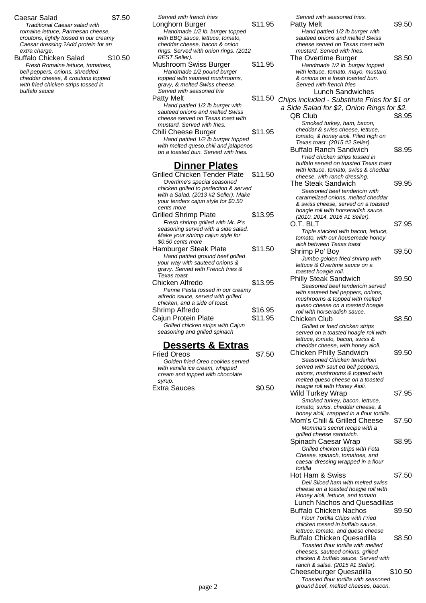| Caesar Salad |  |
|--------------|--|
|--------------|--|

 $$7.50$ 

Served with french fries

Traditional Caesar salad with romaine lettuce, Parmesan cheese, croutons, lightly tossed in our creamy Caesar dressing.?Add protein for an extra charge.

Buffalo Chicken Salad \$10.50 Fresh Romaine lettuce, tomatoes, bell peppers, onions, shredded cheddar cheese, & croutons topped with fried chicken strips tossed in buffalo sauce

| Longhorn Burger<br>Handmade 1/2 lb. burger topped<br>with BBQ sauce, lettuce, tomato,<br>cheddar cheese, bacon & onion                                                                                    | \$11.95 | Patty M<br>Hand<br>sauteed<br>cheese                               |
|-----------------------------------------------------------------------------------------------------------------------------------------------------------------------------------------------------------|---------|--------------------------------------------------------------------|
| rings. Served with onion rings. (2012<br><b>BEST Seller).</b>                                                                                                                                             | \$11.95 | mustard<br>The Ove                                                 |
| Mushroom Swiss Burger<br>Handmade 1/2 pound burger<br>topped with sauteed mushrooms,<br>gravy, & melted Swiss cheese.<br>Served with seasoned frie                                                        |         | Hand<br>with lett<br>& onion<br>Served                             |
| Patty Melt                                                                                                                                                                                                | \$11.50 |                                                                    |
| Hand pattied 1/2 lb burger with<br>sauteed onions and melted Swiss<br>cheese served on Texas toast with<br>mustard. Served with fries.                                                                    |         | Chips includ<br>a Side Sala<br>QB Clut<br>Smok                     |
| Chili Cheese Burger<br>Hand pattied 1/2 lb burger topped<br>with melted queso, chili and jalapenos<br>on a toasted bun. Served with fries.                                                                | \$11.95 | chedda<br>tomato.<br>Texas t<br>Buffalo<br>Fried                   |
| <b>Dinner Plates</b>                                                                                                                                                                                      |         | buffalo .<br>with lett                                             |
| <b>Grilled Chicken Tender Plate</b><br>Overtime's special seasoned<br>chicken grilled to perfection & served<br>with a Salad. (2013 #2 Seller). Make<br>your tenders cajun style for \$0.50<br>cents more | \$11.50 | cheese,<br>The Ste<br>Seas<br>carame<br>& swiss                    |
| <b>Grilled Shrimp Plate</b><br>Fresh shrimp grilled with Mr. P's<br>seasoning served with a side salad.<br>Make your shrimp cajun style for<br>\$0.50 cents more                                          | \$13.95 | hoagie .<br>(2010, 2)<br>o.t. bl<br>Triple<br>tomato.<br>aioli bet |
| Hamburger Steak Plate<br>Hand pattied ground beef grilled<br>your way with sauteed onions &<br>gravy. Served with French fries &<br>Texas toast.                                                          | \$11.50 | Shrimp<br>Jumb<br>، lettuce<br>toasted                             |
| Chicken Alfredo<br>Penne Pasta tossed in our creamy<br>alfredo sauce, served with grilled<br>chicken, and a side of toast.                                                                                | \$13.95 | Philly St<br>Seas<br>with sal<br>mushro<br>queso c                 |
| Shrimp Alfredo                                                                                                                                                                                            | \$16.95 | roll with                                                          |
| Cajun Protein Plate<br>Grilled chicken strips with Cajun<br>seasoning and grilled spinach                                                                                                                 | \$11.95 | Chicken<br>Grille<br>served<br>letture                             |

### **Desserts & Extras**

| <b>Fried Oreos</b>               | \$7.50 |
|----------------------------------|--------|
| Golden fried Oreo cookies served |        |
| with vanilla ice cream, whipped  |        |
| cream and topped with chocolate  |        |
| syrup.                           |        |
| Extra Sauces                     | \$0.50 |

Served with seasoned fries. Patty Melt \$9.50 pattied 1/2 lb burger with *i* onions and melted Swiss served on Texas toast with d. Served with fries. ertime Burger \$8.50 Imade 1/2 lb. burger topped tuce, tomato, mayo, mustard, is on a fresh toasted bun. with french fries Lunch Sandwiches ded - Substitute Fries for \$1 or ad for \$2, Onion Rings for \$2. \$8.95 ked turkey, ham, bacon, r & swiss cheese, lettuce, & honey aioli. Piled high on toast. (2015 #2 Seller). Ranch Sandwich \$8.95 chicken strips tossed in buffalo served on toasted Texas toast tuce, tomato, swiss & cheddar with ranch dressing. ak Sandwich \$9.95 oned beef tenderloin with lized onions, melted cheddar & swiss cheese, served on a toasted roll with horseradish sauce. (2010, 2014, 2016 #1 Seller). O.T. BLT \$7.95 stacked with bacon, lettuce, with our housemade honey tween Texas toast Po' Boy \$9.50 o golden fried shrimp with & Overtime sauce on a hoagie roll. eak Sandwich \$9.50 oned beef tenderloin served uteed bell peppers, onions, oms & topped with melted cheese on a toasted hoagie horseradish sauce. Club \$8.50 d or fried chicken strips on a toasted hoagie roll with lettuce, tomato, bacon, swiss & cheddar cheese, with honey aioli. Chicken Philly Sandwich \$9.50 Seasoned Chicken tenderloin served with saut ed bell peppers, onions, mushrooms & topped with melted queso cheese on a toasted hoagie roll with Honey Aioli. Wild Turkey Wrap \$7.95 Smoked turkey, bacon, lettuce, tomato, swiss, cheddar cheese, & honey aioli, wrapped in a flour tortilla. Mom's Chili & Grilled Cheese \$7.50 Momma's secret recipe with a grilled cheese sandwich. Spinach Caesar Wrap \$8.95 Grilled chicken strips with Feta Cheese, spinach, tomatoes, and caesar dressing wrapped in a flour tortilla Hot Ham & Swiss \$7.50 Deli Sliced ham with melted swiss cheese on a toasted hoagie roll with Honey aioli, lettuce, and tomato Lunch Nachos and Quesadillas Buffalo Chicken Nachos \$9.50 Flour Tortilla Chips with Fried chicken tossed in buffalo sauce, lettuce, tomato, and queso cheese Buffalo Chicken Quesadilla \$8.50 Toasted flour tortilla with melted cheeses, sauteed onions, grilled chicken & buffalo sauce. Served with ranch & salsa. (2015 #1 Seller). Cheeseburger Quesadilla \$10.50

Toasted flour tortilla with seasoned

page 2 ground beef, melted cheeses, bacon,